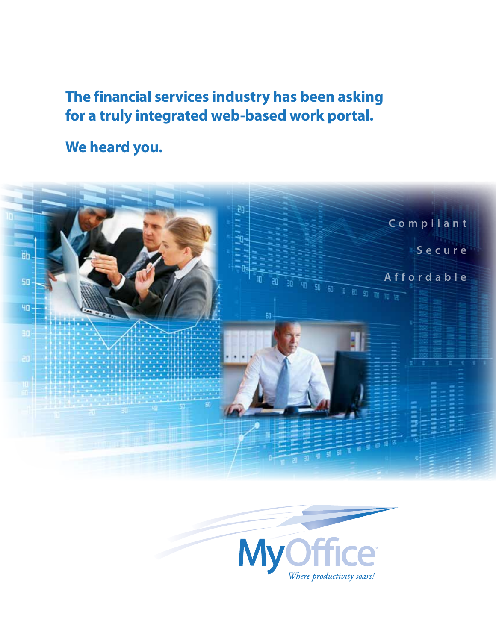# **The financial services industry has been asking for a truly integrated web-based work portal.**

**We heard you.**



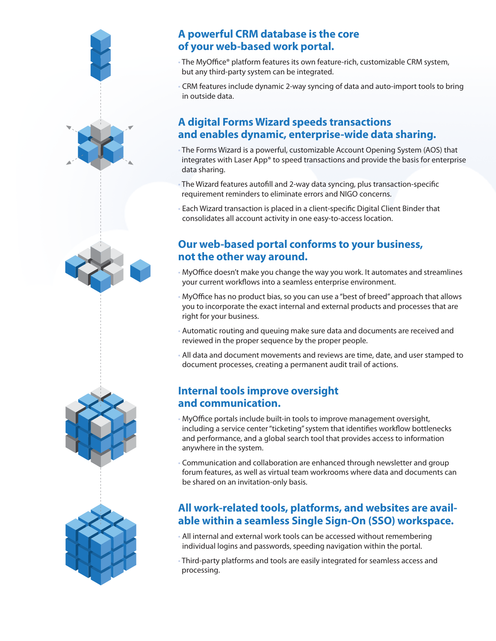# **A powerful CRM database is the core of your web-based work portal.**

- The MyOffice® platform features its own feature-rich, customizable CRM system, but any third-party system can be integrated.
- CRM features include dynamic 2-way syncing of data and auto-import tools to bring in outside data.

# **A digital Forms Wizard speeds transactions and enables dynamic, enterprise-wide data sharing.**

- The Forms Wizard is a powerful, customizable Account Opening System (AOS) that integrates with Laser App® to speed transactions and provide the basis for enterprise data sharing.
- The Wizard features autofill and 2-way data syncing, plus transaction-specific requirement reminders to eliminate errors and NIGO concerns.
- Each Wizard transaction is placed in a client-specific Digital Client Binder that consolidates all account activity in one easy-to-access location.

## **Our web-based portal conforms to your business, not the other way around.**

- MyOffice doesn't make you change the way you work. It automates and streamlines your current workflows into a seamless enterprise environment.
- MyOffice has no product bias, so you can use a "best of breed" approach that allows you to incorporate the exact internal and external products and processes that are right for your business.
- Automatic routing and queuing make sure data and documents are received and reviewed in the proper sequence by the proper people.
- All data and document movements and reviews are time, date, and user stamped to document processes, creating a permanent audit trail of actions.

# **Internal tools improve oversight and communication.**

- MyOffice portals include built-in tools to improve management oversight, including a service center "ticketing" system that identifies workflow bottlenecks and performance, and a global search tool that provides access to information anywhere in the system.
- Communication and collaboration are enhanced through newsletter and group forum features, as well as virtual team workrooms where data and documents can be shared on an invitation-only basis.

# **All work-related tools, platforms, and websites are available within a seamless Single Sign-On (SSO) workspace.**

- All internal and external work tools can be accessed without remembering individual logins and passwords, speeding navigation within the portal.
- Third-party platforms and tools are easily integrated for seamless access and processing.

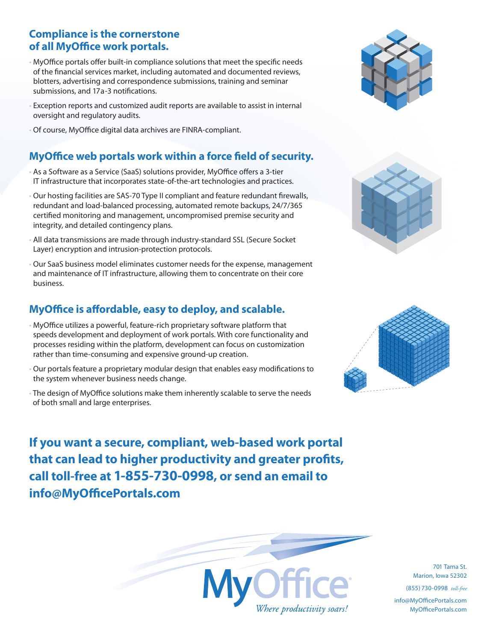# **Compliance is the cornerstone of all MyOffice work portals.**

- MyOffice portals offer built-in compliance solutions that meet the specific needs of the financial services market, including automated and documented reviews, blotters, advertising and correspondence submissions, training and seminar submissions, and 17a-3 notifications.
- Exception reports and customized audit reports are available to assist in internal oversight and regulatory audits.
- Of course, MyOffice digital data archives are FINRA-compliant.

### **MyOffice web portals work within a force field of security.**

- As a Software as a Service (SaaS) solutions provider, MyOffice offers a 3-tier IT infrastructure that incorporates state-of-the-art technologies and practices.
- Our hosting facilities are SAS-70 Type II compliant and feature redundant firewalls, redundant and load-balanced processing, automated remote backups, 24/7/365 certified monitoring and management, uncompromised premise security and integrity, and detailed contingency plans.
- All data transmissions are made through industry-standard SSL (Secure Socket Layer) encryption and intrusion-protection protocols.
- Our SaaS business model eliminates customer needs for the expense, management and maintenance of IT infrastructure, allowing them to concentrate on their core business.

# **MyOffice is affordable, easy to deploy, and scalable.**

- MyOffice utilizes a powerful, feature-rich proprietary software platform that speeds development and deployment of work portals. With core functionality and processes residing within the platform, development can focus on customization rather than time-consuming and expensive ground-up creation.
- Our portals feature a proprietary modular design that enables easy modifications to the system whenever business needs change.
- The design of MyOffice solutions make them inherently scalable to serve the needs of both small and large enterprises.

**If you want a secure, compliant, web-based work portal that can lead to higher productivity and greater profits, call toll-free at 1-855-730-0998, or send an email to info@MyOfficePortals.com**



701 Tama St. Marion, Iowa 52302

(855) 730-0998 *toll-free*

info@MyOfficePortals.com MyOfficePortals.com